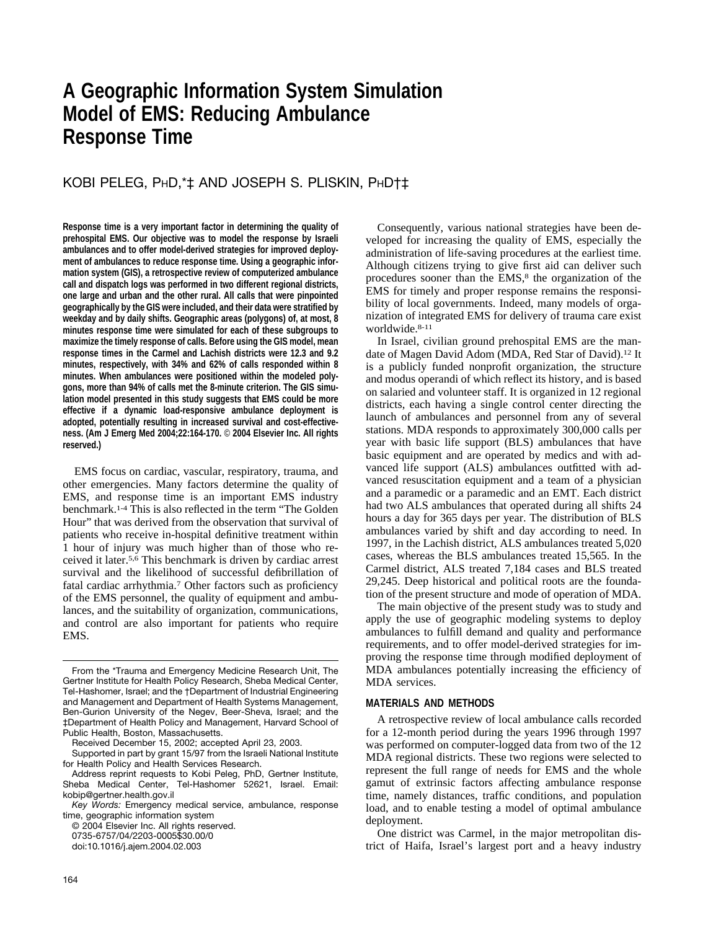# **A Geographic Information System Simulation Model of EMS: Reducing Ambulance Response Time**

### KOBI PELEG, PHD,\*‡ AND JOSEPH S. PLISKIN, PHD†‡

**Response time is a very important factor in determining the quality of prehospital EMS. Our objective was to model the response by Israeli ambulances and to offer model-derived strategies for improved deployment of ambulances to reduce response time. Using a geographic information system (GIS), a retrospective review of computerized ambulance call and dispatch logs was performed in two different regional districts, one large and urban and the other rural. All calls that were pinpointed geographically by the GIS were included, and their data were stratified by weekday and by daily shifts. Geographic areas (polygons) of, at most, 8 minutes response time were simulated for each of these subgroups to maximize the timely response of calls. Before using the GIS model, mean response times in the Carmel and Lachish districts were 12.3 and 9.2 minutes, respectively, with 34% and 62% of calls responded within 8 minutes. When ambulances were positioned within the modeled polygons, more than 94% of calls met the 8-minute criterion. The GIS simulation model presented in this study suggests that EMS could be more effective if a dynamic load-responsive ambulance deployment is adopted, potentially resulting in increased survival and cost-effectiveness. (Am J Emerg Med 2004;22:164-170.** © **2004 Elsevier Inc. All rights reserved.)**

EMS focus on cardiac, vascular, respiratory, trauma, and other emergencies. Many factors determine the quality of EMS, and response time is an important EMS industry benchmark.1-4 This is also reflected in the term "The Golden Hour" that was derived from the observation that survival of patients who receive in-hospital definitive treatment within 1 hour of injury was much higher than of those who received it later.5,6 This benchmark is driven by cardiac arrest survival and the likelihood of successful defibrillation of fatal cardiac arrhythmia.7 Other factors such as proficiency of the EMS personnel, the quality of equipment and ambulances, and the suitability of organization, communications, and control are also important for patients who require EMS.

Received December 15, 2002; accepted April 23, 2003.

© 2004 Elsevier Inc. All rights reserved.

0735-6757/04/2203-0005\$30.00/0

doi:10.1016/j.ajem.2004.02.003

Consequently, various national strategies have been developed for increasing the quality of EMS, especially the administration of life-saving procedures at the earliest time. Although citizens trying to give first aid can deliver such procedures sooner than the EMS,<sup>8</sup> the organization of the EMS for timely and proper response remains the responsibility of local governments. Indeed, many models of organization of integrated EMS for delivery of trauma care exist worldwide.8-11

In Israel, civilian ground prehospital EMS are the mandate of Magen David Adom (MDA, Red Star of David).12 It is a publicly funded nonprofit organization, the structure and modus operandi of which reflect its history, and is based on salaried and volunteer staff. It is organized in 12 regional districts, each having a single control center directing the launch of ambulances and personnel from any of several stations. MDA responds to approximately 300,000 calls per year with basic life support (BLS) ambulances that have basic equipment and are operated by medics and with advanced life support (ALS) ambulances outfitted with advanced resuscitation equipment and a team of a physician and a paramedic or a paramedic and an EMT. Each district had two ALS ambulances that operated during all shifts 24 hours a day for 365 days per year. The distribution of BLS ambulances varied by shift and day according to need. In 1997, in the Lachish district, ALS ambulances treated 5,020 cases, whereas the BLS ambulances treated 15,565. In the Carmel district, ALS treated 7,184 cases and BLS treated 29,245. Deep historical and political roots are the foundation of the present structure and mode of operation of MDA.

The main objective of the present study was to study and apply the use of geographic modeling systems to deploy ambulances to fulfill demand and quality and performance requirements, and to offer model-derived strategies for improving the response time through modified deployment of MDA ambulances potentially increasing the efficiency of MDA services.

#### **MATERIALS AND METHODS**

A retrospective review of local ambulance calls recorded for a 12-month period during the years 1996 through 1997 was performed on computer-logged data from two of the 12 MDA regional districts. These two regions were selected to represent the full range of needs for EMS and the whole gamut of extrinsic factors affecting ambulance response time, namely distances, traffic conditions, and population load, and to enable testing a model of optimal ambulance deployment.

One district was Carmel, in the major metropolitan district of Haifa, Israel's largest port and a heavy industry

From the \*Trauma and Emergency Medicine Research Unit, The Gertner Institute for Health Policy Research, Sheba Medical Center, Tel-Hashomer, Israel; and the †Department of Industrial Engineering and Management and Department of Health Systems Management, Ben-Gurion University of the Negev, Beer-Sheva, Israel; and the ‡Department of Health Policy and Management, Harvard School of Public Health, Boston, Massachusetts.

Supported in part by grant 15/97 from the Israeli National Institute for Health Policy and Health Services Research.

Address reprint requests to Kobi Peleg, PhD, Gertner Institute, Sheba Medical Center, Tel-Hashomer 52621, Israel. Email: kobip@gertner.health.gov.il

*Key Words:* Emergency medical service, ambulance, response time, geographic information system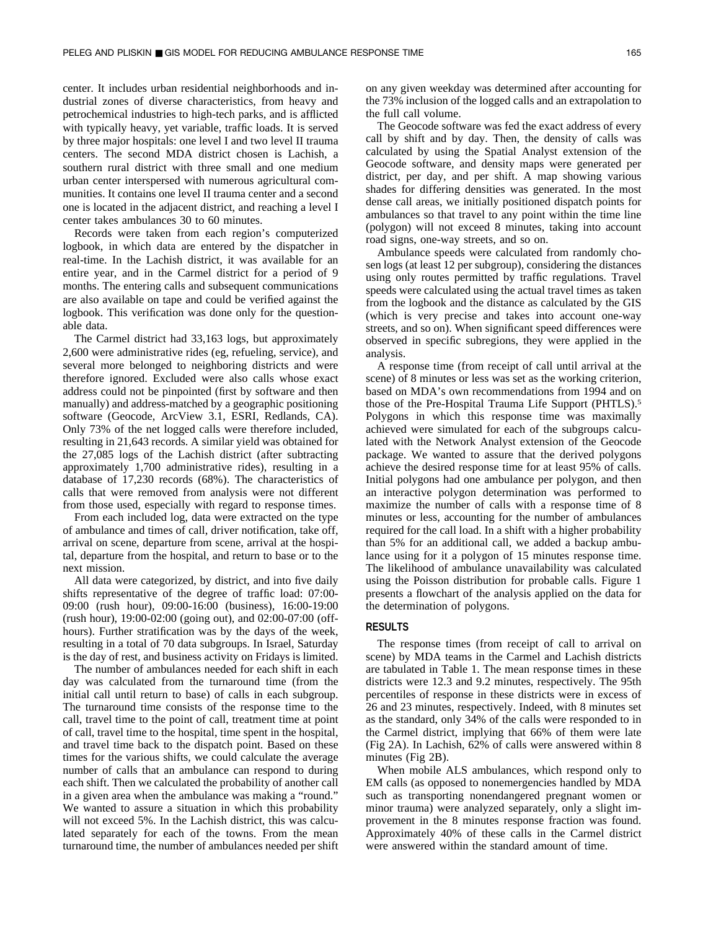center. It includes urban residential neighborhoods and industrial zones of diverse characteristics, from heavy and petrochemical industries to high-tech parks, and is afflicted with typically heavy, yet variable, traffic loads. It is served by three major hospitals: one level I and two level II trauma centers. The second MDA district chosen is Lachish, a southern rural district with three small and one medium urban center interspersed with numerous agricultural communities. It contains one level II trauma center and a second one is located in the adjacent district, and reaching a level I center takes ambulances 30 to 60 minutes.

Records were taken from each region's computerized logbook, in which data are entered by the dispatcher in real-time. In the Lachish district, it was available for an entire year, and in the Carmel district for a period of 9 months. The entering calls and subsequent communications are also available on tape and could be verified against the logbook. This verification was done only for the questionable data.

The Carmel district had 33,163 logs, but approximately 2,600 were administrative rides (eg, refueling, service), and several more belonged to neighboring districts and were therefore ignored. Excluded were also calls whose exact address could not be pinpointed (first by software and then manually) and address-matched by a geographic positioning software (Geocode, ArcView 3.1, ESRI, Redlands, CA). Only 73% of the net logged calls were therefore included, resulting in 21,643 records. A similar yield was obtained for the 27,085 logs of the Lachish district (after subtracting approximately 1,700 administrative rides), resulting in a database of 17,230 records (68%). The characteristics of calls that were removed from analysis were not different from those used, especially with regard to response times.

From each included log, data were extracted on the type of ambulance and times of call, driver notification, take off, arrival on scene, departure from scene, arrival at the hospital, departure from the hospital, and return to base or to the next mission.

All data were categorized, by district, and into five daily shifts representative of the degree of traffic load: 07:00- 09:00 (rush hour), 09:00-16:00 (business), 16:00-19:00 (rush hour), 19:00-02:00 (going out), and 02:00-07:00 (offhours). Further stratification was by the days of the week, resulting in a total of 70 data subgroups. In Israel, Saturday is the day of rest, and business activity on Fridays is limited.

The number of ambulances needed for each shift in each day was calculated from the turnaround time (from the initial call until return to base) of calls in each subgroup. The turnaround time consists of the response time to the call, travel time to the point of call, treatment time at point of call, travel time to the hospital, time spent in the hospital, and travel time back to the dispatch point. Based on these times for the various shifts, we could calculate the average number of calls that an ambulance can respond to during each shift. Then we calculated the probability of another call in a given area when the ambulance was making a "round." We wanted to assure a situation in which this probability will not exceed 5%. In the Lachish district, this was calculated separately for each of the towns. From the mean turnaround time, the number of ambulances needed per shift

on any given weekday was determined after accounting for the 73% inclusion of the logged calls and an extrapolation to the full call volume.

The Geocode software was fed the exact address of every call by shift and by day. Then, the density of calls was calculated by using the Spatial Analyst extension of the Geocode software, and density maps were generated per district, per day, and per shift. A map showing various shades for differing densities was generated. In the most dense call areas, we initially positioned dispatch points for ambulances so that travel to any point within the time line (polygon) will not exceed 8 minutes, taking into account road signs, one-way streets, and so on.

Ambulance speeds were calculated from randomly chosen logs (at least 12 per subgroup), considering the distances using only routes permitted by traffic regulations. Travel speeds were calculated using the actual travel times as taken from the logbook and the distance as calculated by the GIS (which is very precise and takes into account one-way streets, and so on). When significant speed differences were observed in specific subregions, they were applied in the analysis.

A response time (from receipt of call until arrival at the scene) of 8 minutes or less was set as the working criterion, based on MDA's own recommendations from 1994 and on those of the Pre-Hospital Trauma Life Support (PHTLS).5 Polygons in which this response time was maximally achieved were simulated for each of the subgroups calculated with the Network Analyst extension of the Geocode package. We wanted to assure that the derived polygons achieve the desired response time for at least 95% of calls. Initial polygons had one ambulance per polygon, and then an interactive polygon determination was performed to maximize the number of calls with a response time of 8 minutes or less, accounting for the number of ambulances required for the call load. In a shift with a higher probability than 5% for an additional call, we added a backup ambulance using for it a polygon of 15 minutes response time. The likelihood of ambulance unavailability was calculated using the Poisson distribution for probable calls. Figure 1 presents a flowchart of the analysis applied on the data for the determination of polygons.

#### **RESULTS**

The response times (from receipt of call to arrival on scene) by MDA teams in the Carmel and Lachish districts are tabulated in Table 1. The mean response times in these districts were 12.3 and 9.2 minutes, respectively. The 95th percentiles of response in these districts were in excess of 26 and 23 minutes, respectively. Indeed, with 8 minutes set as the standard, only 34% of the calls were responded to in the Carmel district, implying that 66% of them were late (Fig 2A). In Lachish, 62% of calls were answered within 8 minutes (Fig 2B).

When mobile ALS ambulances, which respond only to EM calls (as opposed to nonemergencies handled by MDA such as transporting nonendangered pregnant women or minor trauma) were analyzed separately, only a slight improvement in the 8 minutes response fraction was found. Approximately 40% of these calls in the Carmel district were answered within the standard amount of time.